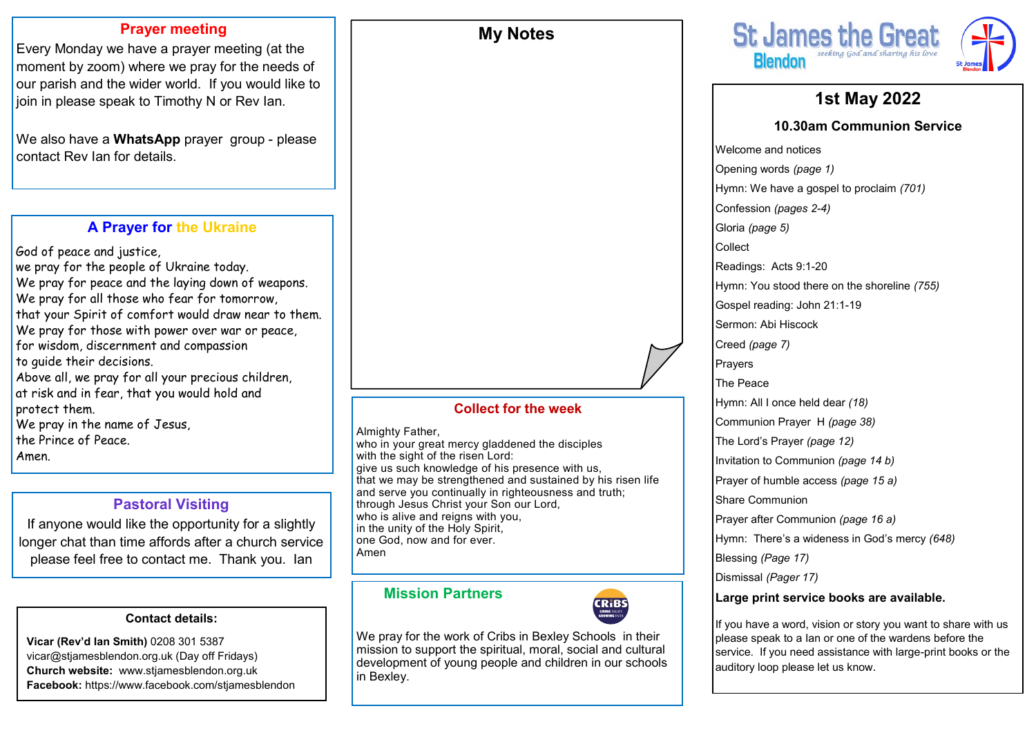### **Prayer meeting**

Every Monday we have a prayer meeting (at the moment by zoom) where we pray for the needs of our parish and the wider world. If you would like to join in please speak to Timothy N or Rev Ian.

We also have a **WhatsApp** prayer group - please contact Rev Ian for details.

# **A Prayer for the Ukraine**

God of peace and justice, we pray for the people of Ukraine today. We pray for peace and the laying down of weapons. We pray for all those who fear for tomorrow, that your Spirit of comfort would draw near to them. We pray for those with power over war or peace, for wisdom, discernment and compassion to guide their decisions. Above all, we pray for all your precious children, at risk and in fear, that you would hold and protect them. We pray in the name of Jesus, the Prince of Peace. Amen.

# **Pastoral Visiting**

If anyone would like the opportunity for a slightly longer chat than time affords after a church service please feel free to contact me. Thank you. Ian

### **Contact details:**

**Vicar (Rev'd Ian Smith)** 0208 301 5387 vicar@stjamesblendon.org.uk (Day off Fridays) **Church website:** www.stjamesblendon.org.uk **Facebook:** https://www.facebook.com/stjamesblendon

### **Collect for the week**

**My Notes**

Almighty Father,

who in your great mercy gladdened the disciples with the sight of the risen Lord: give us such knowledge of his presence with us, that we may be strengthened and sustained by his risen life and serve you continually in righteousness and truth; through Jesus Christ your Son our Lord, who is alive and reigns with you, in the unity of the Holy Spirit, one God, now and for ever. Amen

## **Mission Partners**



We pray for the work of Cribs in Bexley Schools in their mission to support the spiritual, moral, social and cultural development of young people and children in our schools in Bexley.



# **1st May 2022**

### **10.30am Communion Service**

Welcome and notices Opening words *(page 1)* Hymn: We have a gospel to proclaim *(701)*  Confession *(pages 2-4)*  Gloria *(page 5)*  Collect Readings: Acts 9:1-20 Hymn: You stood there on the shoreline *(755)* Gospel reading: John 21:1-19 Sermon: Abi Hiscock Creed *(page 7)* Prayers The Peace Hymn: All I once held dear *(18)* Communion Prayer H *(page 38)*  The Lord's Prayer *(page 12)*  Invitation to Communion *(page 14 b)* Prayer of humble access *(page 15 a)*  Share Communion Prayer after Communion *(page 16 a)* Hymn: There's a wideness in God's mercy *(648)* Blessing *(Page 17)* Dismissal *(Pager 17)*

### **Large print service books are available.**

If you have a word, vision or story you want to share with us please speak to a Ian or one of the wardens before the service. If you need assistance with large-print books or the auditory loop please let us know.